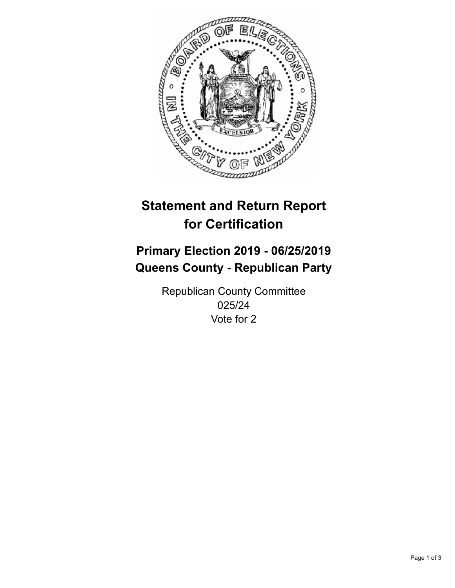

## **Statement and Return Report for Certification**

## **Primary Election 2019 - 06/25/2019 Queens County - Republican Party**

Republican County Committee 025/24 Vote for 2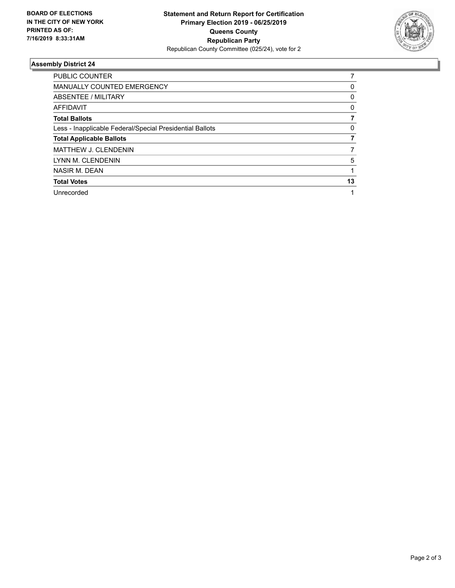

## **Assembly District 24**

| PUBLIC COUNTER                                           |          |
|----------------------------------------------------------|----------|
| <b>MANUALLY COUNTED EMERGENCY</b>                        | 0        |
| ABSENTEE / MILITARY                                      | 0        |
| <b>AFFIDAVIT</b>                                         | 0        |
| <b>Total Ballots</b>                                     |          |
| Less - Inapplicable Federal/Special Presidential Ballots | $\Omega$ |
| <b>Total Applicable Ballots</b>                          |          |
| MATTHEW J. CLENDENIN                                     |          |
| LYNN M. CLENDENIN                                        | 5        |
| NASIR M. DEAN                                            |          |
| <b>Total Votes</b>                                       | 13       |
| Unrecorded                                               |          |